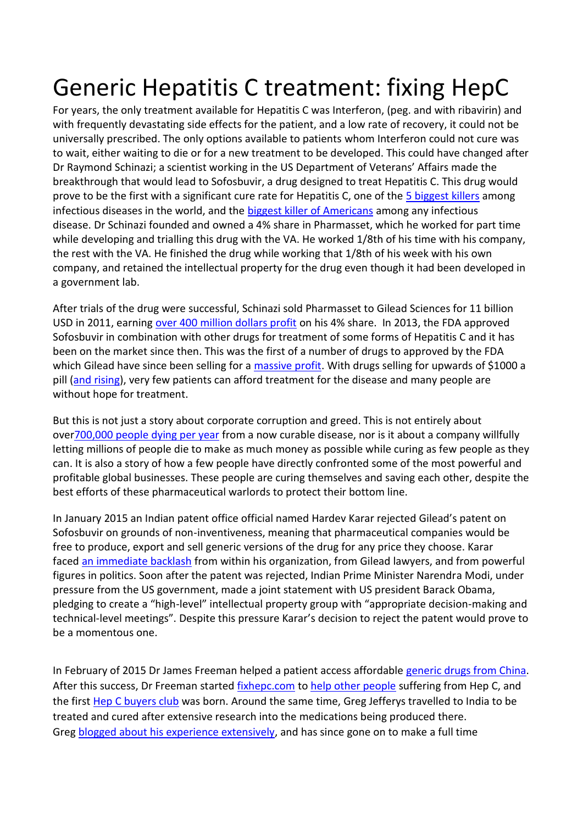## Generic Hepatitis C treatment: fixing HepC

For years, the only treatment available for Hepatitis C was Interferon, (peg. and with ribavirin) and with frequently devastating side effects for the patient, and a low rate of recovery, it could not be universally prescribed. The only options available to patients whom Interferon could not cure was to wait, either waiting to die or for a new treatment to be developed. This could have changed after Dr Raymond Schinazi; a scientist working in the US Department of Veterans' Affairs made the breakthrough that would lead to Sofosbuvir, a drug designed to treat Hepatitis C. This drug would prove to be the first with a significant cure rate for Hepatitis C, one of the [5 biggest killers](http://t.umblr.com/redirect?z=http%3A%2F%2Fwww.infoplease.com%2Fipa%2FA0903696.html&t=OWUzMzhhNzI5YWFhY2RiNjg4NzA4OTM3YTE3ZmIzZDYwYjcyNTFjOCw3em9zWXJ4Wg%3D%3D) among infectious diseases in the world, and the [biggest killer of Americans](http://t.umblr.com/redirect?z=https%3A%2F%2Fconsumer.healthday.com%2Finfectious-disease-information-21%2Fhepatitis-news-373%2Fhepatitis-c-now-leading-infectious-disease-killer-in-u-s-710668.html&t=ZDJhNGE5MzE3ZGUxNmMxZmUzM2JlMjIyNjEzYzFjNzlkNjg5NWUzZSw3em9zWXJ4Wg%3D%3D) among any infectious disease. Dr Schinazi founded and owned a 4% share in Pharmasset, which he worked for part time while developing and trialling this drug with the VA. He worked 1/8th of his time with his company, the rest with the VA. He finished the drug while working that 1/8th of his week with his own company, and retained the intellectual property for the drug even though it had been developed in a government lab.

After trials of the drug were successful, Schinazi sold Pharmasset to Gilead Sciences for 11 billion USD in 2011, earning [over 400 million dollars profit](http://t.umblr.com/redirect?z=http%3A%2F%2Fwww.hcplive.com%2Fmedical-news%2Fdoctor-behind-development-of-sofosbuvir-comes-under-scrutiny&t=OWRlNDU1NmZiZDg0ZWZjNjBhYjkwNjJlYTliY2U2MDYxOWYyZDg2Yyw3em9zWXJ4Wg%3D%3D) on his 4% share. In 2013, the FDA approved Sofosbuvir in combination with other drugs for treatment of some forms of Hepatitis C and it has been on the market since then. This was the first of a number of drugs to approved by the FDA which Gilead have since been selling for a [massive profit.](http://t.umblr.com/redirect?z=%28http%3A%2F%2Ffixhepc.com%2Fmedia%2Fkunena%2Fattachments%2F391%2FGileadbackgroundresearch-March1.pdf&t=OTE1NTVhZmQwOGM1ZTJkNzQ1MDg1ODQ4Mjc3MDM1MTYxNDdiMzI3YSw3em9zWXJ4Wg%3D%3D) With drugs selling for upwards of \$1000 a pill [\(and rising\)](http://t.umblr.com/redirect?z=https%3A%2F%2Fwww.poz.com%2Farticle%2Fgilead-raises-prices-hiv-meds-twice-six-months&t=ZTRkNmFmZjI5ODFmOTIyYjQ1OTllMmZmY2Q0MmVjNGQ4NWRlNzc5OSw3em9zWXJ4Wg%3D%3D), very few patients can afford treatment for the disease and many people are without hope for treatment.

But this is not just a story about corporate corruption and greed. This is not entirely about ove[r700,000 people dying per year](http://t.umblr.com/redirect?z=http%3A%2F%2Fwww.who.int%2Fmediacentre%2Ffactsheets%2Ffs164%2Fen%2F&t=N2M0YjIxZmQ3MTFhY2FjOWFhNDM5ZjA0MjQxNjljYjFiNmUzOWFhNyw3em9zWXJ4Wg%3D%3D) from a now curable disease, nor is it about a company willfully letting millions of people die to make as much money as possible while curing as few people as they can. It is also a story of how a few people have directly confronted some of the most powerful and profitable global businesses. These people are curing themselves and saving each other, despite the best efforts of these pharmaceutical warlords to protect their bottom line.

In January 2015 an Indian patent office official named Hardev Karar rejected Gilead's patent on Sofosbuvir on grounds of non-inventiveness, meaning that pharmaceutical companies would be free to produce, export and sell generic versions of the drug for any price they choose. Karar faced [an immediate backlash](http://t.umblr.com/redirect?z=http%3A%2F%2Fwww.caravanmagazine.in%2Fvantage%2Findian-official-rejected-gilead-patent-forced-out&t=NjhhNzhhOTg4MGUzODY3MTFkMmI4OWY4NTY3MjVkMDRiOWZkNzFmMiw3em9zWXJ4Wg%3D%3D) from within his organization, from Gilead lawyers, and from powerful figures in politics. Soon after the patent was rejected, Indian Prime Minister Narendra Modi, under pressure from the US government, made a joint statement with US president Barack Obama, pledging to create a "high-level" intellectual property group with "appropriate decision-making and technical-level meetings". Despite this pressure Karar's decision to reject the patent would prove to be a momentous one.

In February of 2015 Dr James Freeman helped a patient access affordable [generic drugs from China.](http://t.umblr.com/redirect?z=http%3A%2F%2Ffixhepc.com%2Fforum%2Fnew-to-forum%2F115-patient-zero.html%23225&t=YmZiOTdjZTk2NDVmNmVlZDZhZmI1MGIxOGY1MzczNjg2N2UyMGNlMyw3em9zWXJ4Wg%3D%3D) After this success, Dr Freeman started [fixhepc.com](http://t.umblr.com/redirect?z=http%3A%2F%2Ffixhepc.com%2F&t=MzU5NDExNjMzMjAyZmM4Y2E1ZDhiMjhmYzhlYWYyMzViOTFkYzMwMyw3em9zWXJ4Wg%3D%3D) to [help other people](http://t.umblr.com/redirect?z=http%3A%2F%2Ffixhepc.com%2Fforum%2Fwelcome%2F88-why-i-choose-to-help.html%2389&t=OGE2OGNkMGY4NWY4MWFhYjZkZTFjZmNiYjhjODM0NDA2MWYzNzkyOSw3em9zWXJ4Wg%3D%3D) suffering from Hep C, and the first [Hep C buyers club](http://t.umblr.com/redirect?z=http%3A%2F%2Ffixhepc.com%2Fgetting-treated%2Fhow-to-do-it%2Fbuyers-club.html&t=MGFmZDZhZjJkYWVjZGE1ZjViZTVjM2U0MDBhNWIxYWVlNDZlNDAxZCw3em9zWXJ4Wg%3D%3D) was born. Around the same time, Greg Jefferys travelled to India to be treated and cured after extensive research into the medications being produced there. Greg [blogged about his experience extensively,](http://t.umblr.com/redirect?z=http%3A%2F%2Fhepatitisctreatment.homestead.com%2Findex.html&t=ZDM3ZTdmMTQ0ZWEyYjAzODM3OWU2MDZjOTg1MzhjZjcwZDI4ZmU0Yyw3em9zWXJ4Wg%3D%3D) and has since gone on to make a full time